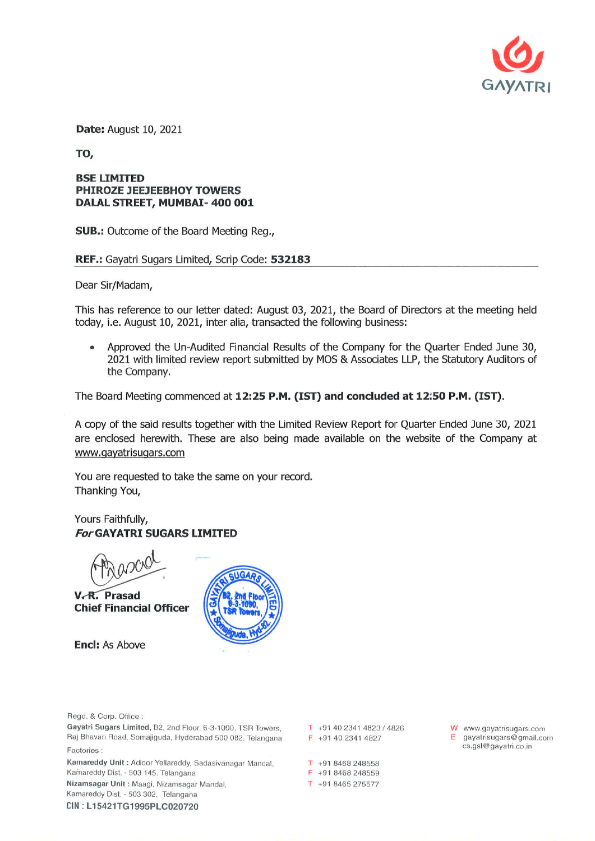

**Date: August 10, 2021** 

TO,

## **BSE LIMITED PHIROZE JEEJEEBHOY TOWERS** DALAL STREET, MUMBAI- 400 001

**SUB.:** Outcome of the Board Meeting Reg.,

## REF.: Gayatri Sugars Limited, Scrip Code: 532183

Dear Sir/Madam,

This has reference to our letter dated: August 03, 2021, the Board of Directors at the meeting held today, i.e. August 10, 2021, inter alia, transacted the following business:

Approved the Un-Audited Financial Results of the Company for the Quarter Ended June 30, 2021 with limited review report submitted by MOS & Associates LLP, the Statutory Auditors of the Company.

The Board Meeting commenced at 12:25 P.M. (IST) and concluded at 12:50 P.M. (IST).

A copy of the said results together with the Limited Review Report for Quarter Ended June 30, 2021 are enclosed herewith. These are also being made available on the website of the Company at www.qayatrisugars.com

You are requested to take the same on your record. Thanking You,

Yours Faithfully, **For GAYATRI SUGARS LIMITED** 

V.R. Prasad **Chief Financial Officer** 

**Encl: As Above** 



Regd. & Corp. Office :

Gayatri Sugars Limited, B2, 2nd Floor, 6-3-1090, TSR Towers, Raj Bhavan Road, Somajiguda, Hyderabad 500 082. Telangana Factories:

Kamareddy Unit: Adloor Yellareddy, Sadasivanagar Mandal. Kamareddy Dist. - 503 145. Telangana Nizamsagar Unit: Maagi, Nizamsagar Mandal, Kamareddy Dist. - 503 302. Telangana CIN: L15421TG1995PLC020720

 $T$  +91 40 2341 4823 / 4826 F +91 40 2341 4827

T +91 8468 248558 F +91 8468 248559 T +91 8465 275577

W www.gayatrisugars.com  $E$  gayatrisugars@gmail.com cs.gsl@gayatri.co.in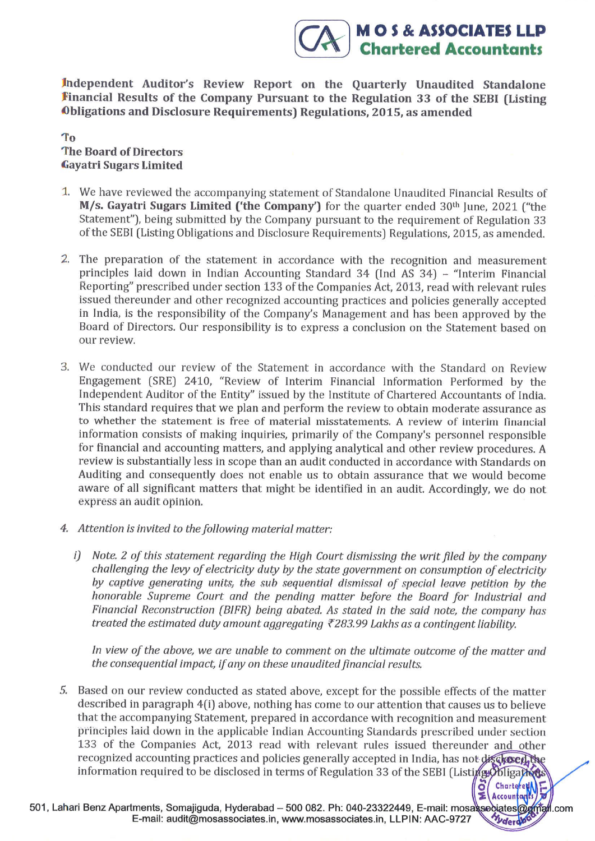Independent Auditor's Review Report on the Quarterly Unaudited Standalone Financial Results of the Company Pursuant to the Regulation 33 of the SEBI (Listing Obligations and Disclosure Requirements) Regulations, 2015, as amended

**MOS & ASSOCIATES LLP Chartered Accountants** 

> Chartered **Accountants**

To **The Board of Directors Gayatri Sugars Limited** 

- 1. We have reviewed the accompanying statement of Standalone Unaudited Financial Results of M/s. Gayatri Sugars Limited ('the Company') for the quarter ended 30th June, 2021 ("the Statement"), being submitted by the Company pursuant to the requirement of Regulation 33 of the SEBI (Listing Obligations and Disclosure Requirements) Regulations, 2015, as amended.
- 2. The preparation of the statement in accordance with the recognition and measurement principles laid down in Indian Accounting Standard 34 (Ind AS 34) - "Interim Financial Reporting" prescribed under section 133 of the Companies Act, 2013, read with relevant rules issued thereunder and other recognized accounting practices and policies generally accepted in India, is the responsibility of the Company's Management and has been approved by the Board of Directors. Our responsibility is to express a conclusion on the Statement based on our review.
- 3. We conducted our review of the Statement in accordance with the Standard on Review Engagement (SRE) 2410, "Review of Interim Financial Information Performed by the Independent Auditor of the Entity" issued by the Institute of Chartered Accountants of India. This standard requires that we plan and perform the review to obtain moderate assurance as to whether the statement is free of material misstatements. A review of interim financial information consists of making inquiries, primarily of the Company's personnel responsible for financial and accounting matters, and applying analytical and other review procedures. A review is substantially less in scope than an audit conducted in accordance with Standards on Auditing and consequently does not enable us to obtain assurance that we would become aware of all significant matters that might be identified in an audit. Accordingly, we do not express an audit opinion.
- 4. Attention is invited to the following material matter:
	- i) Note. 2 of this statement regarding the High Court dismissing the writ filed by the company challenging the levy of electricity duty by the state government on consumption of electricity by captive generating units, the sub sequential dismissal of special leave petition by the honorable Supreme Court and the pending matter before the Board for Industrial and Financial Reconstruction (BIFR) being abated. As stated in the said note, the company has treated the estimated duty amount aggregating  $\bar{\tau}$ 283.99 Lakhs as a contingent liability.

In view of the above, we are unable to comment on the ultimate outcome of the matter and the consequential impact, if any on these unaudited financial results.

5. Based on our review conducted as stated above, except for the possible effects of the matter described in paragraph 4(i) above, nothing has come to our attention that causes us to believe that the accompanying Statement, prepared in accordance with recognition and measurement principles laid down in the applicable Indian Accounting Standards prescribed under section 133 of the Companies Act, 2013 read with relevant rules issued thereunder and other recognized accounting practices and policies generally accepted in India, has not discharge the information required to be disclosed in terms of Regulation 33 of the SEBI (Listing Obligation

501. Lahari Benz Apartments. Somajiguda, Hyderabad - 500 082. Ph: 040-23322449, E-mail: mosassociates@gmail.com E-mail: audit@mosassociates.in, www.mosassociates.in, LLPIN: AAC-9727 Vderdo